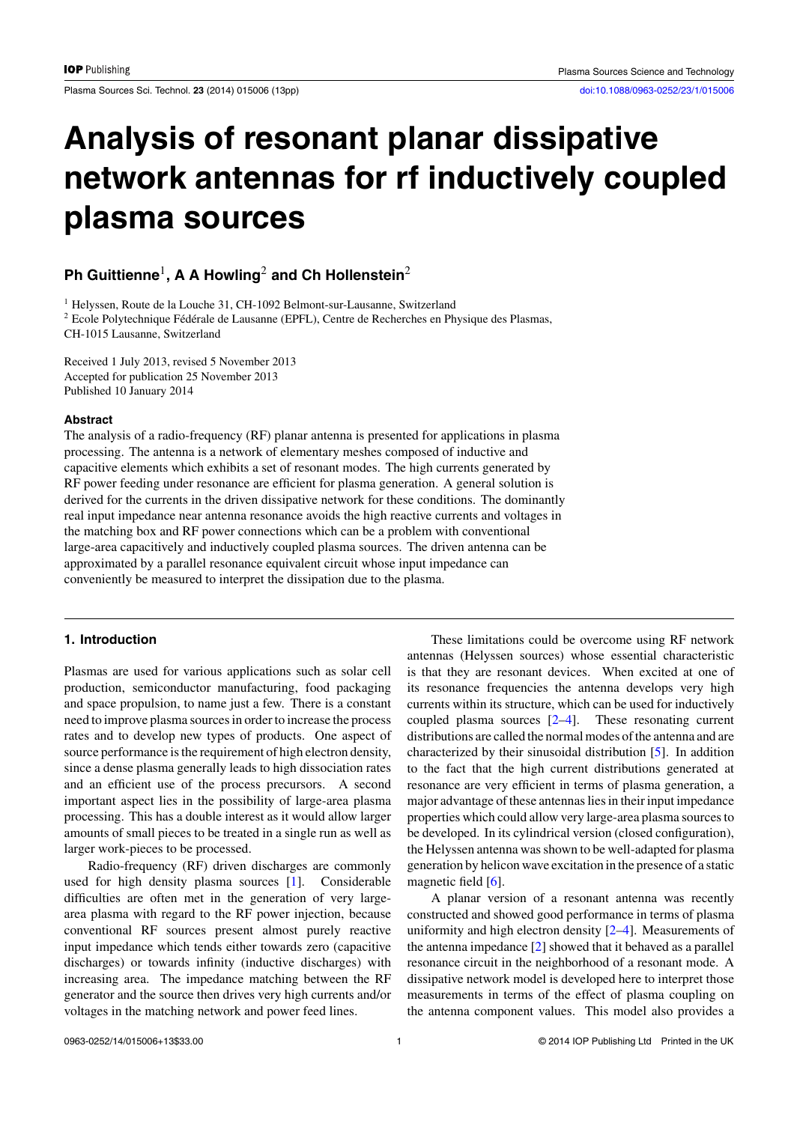# **Analysis of resonant planar dissipative network antennas for rf inductively coupled plasma sources**

## **Ph Guittienne**1**, A A Howling**<sup>2</sup> **and Ch Hollenstein**<sup>2</sup>

<sup>1</sup> Helyssen, Route de la Louche 31, CH-1092 Belmont-sur-Lausanne, Switzerland <sup>2</sup> Ecole Polytechnique Fédérale de Lausanne (EPFL), Centre de Recherches en Physique des Plasmas, CH-1015 Lausanne, Switzerland

Received 1 July 2013, revised 5 November 2013 Accepted for publication 25 November 2013 Published 10 January 2014

#### **Abstract**

The analysis of a radio-frequency (RF) planar antenna is presented for applications in plasma processing. The antenna is a network of elementary meshes composed of inductive and capacitive elements which exhibits a set of resonant modes. The high currents generated by RF power feeding under resonance are efficient for plasma generation. A general solution is derived for the currents in the driven dissipative network for these conditions. The dominantly real input impedance near antenna resonance avoids the high reactive currents and voltages in the matching box and RF power connections which can be a problem with conventional large-area capacitively and inductively coupled plasma sources. The driven antenna can be approximated by a parallel resonance equivalent circuit whose input impedance can conveniently be measured to interpret the dissipation due to the plasma.

## **1. Introduction**

Plasmas are used for various applications such as solar cell production, semiconductor manufacturing, food packaging and space propulsion, to name just a few. There is a constant need to improve plasma sources in order to increase the process rates and to develop new types of products. One aspect of source performance is the requirement of high electron density, since a dense plasma generally leads to high dissociation rates and an efficient use of the process precursors. A second important aspect lies in the possibility of large-area plasma processing. This has a double interest as it would allow larger amounts of small pieces to be treated in a single run as well as larger work-pieces to be processed.

Radio-frequency (RF) driven discharges are commonly used for high density plasma sources [\[1\]](#page-11-0). Considerable difficulties are often met in the generation of very largearea plasma with regard to the RF power injection, because conventional RF sources present almost purely reactive input impedance which tends either towards zero (capacitive discharges) or towards infinity (inductive discharges) with increasing area. The impedance matching between the RF generator and the source then drives very high currents and/or voltages in the matching network and power feed lines.

These limitations could be overcome using RF network antennas (Helyssen sources) whose essential characteristic is that they are resonant devices. When excited at one of its resonance frequencies the antenna develops very high currents within its structure, which can be used for inductively coupled plasma sources [\[2–4\]](#page-11-0). These resonating current distributions are called the normal modes of the antenna and are characterized by their sinusoidal distribution [\[5\]](#page-11-0). In addition to the fact that the high current distributions generated at resonance are very efficient in terms of plasma generation, a major advantage of these antennas lies in their input impedance properties which could allow very large-area plasma sources to be developed. In its cylindrical version (closed configuration), the Helyssen antenna was shown to be well-adapted for plasma generation by helicon wave excitation in the presence of a static magnetic field [\[6\]](#page-11-0).

A planar version of a resonant antenna was recently constructed and showed good performance in terms of plasma uniformity and high electron density [\[2–4\]](#page-11-0). Measurements of the antenna impedance [\[2\]](#page-11-0) showed that it behaved as a parallel resonance circuit in the neighborhood of a resonant mode. A dissipative network model is developed here to interpret those measurements in terms of the effect of plasma coupling on the antenna component values. This model also provides a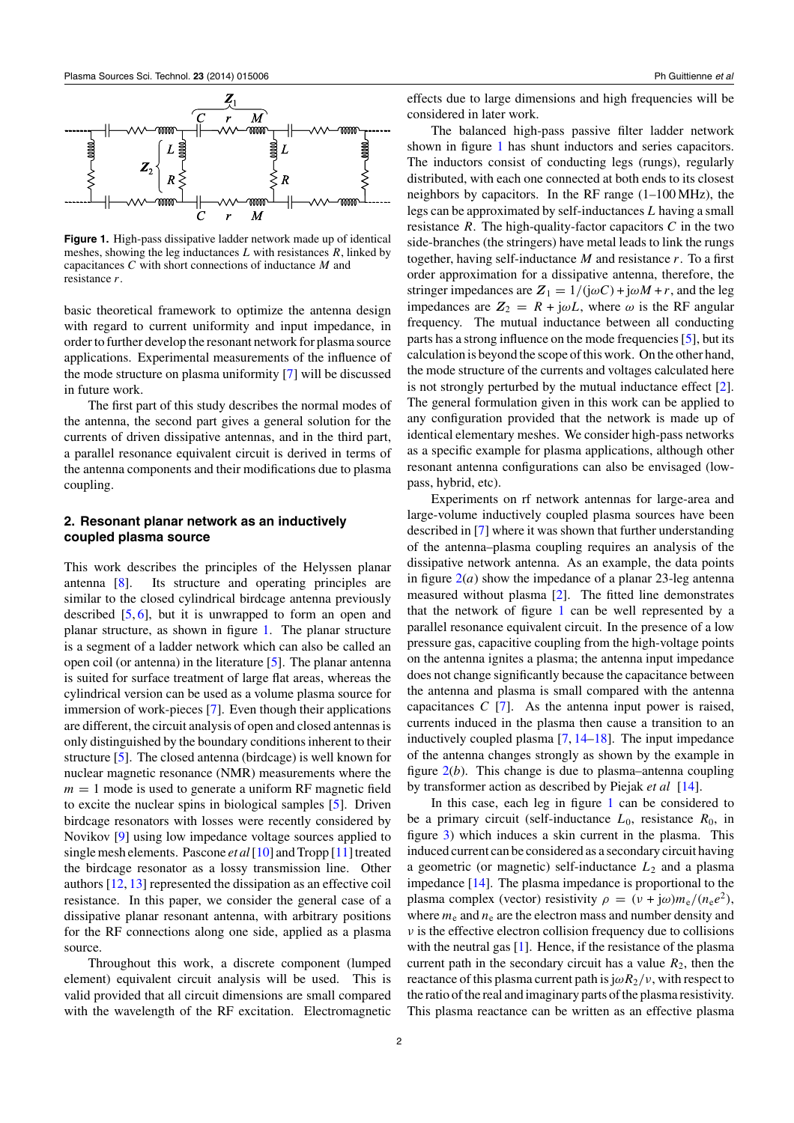<span id="page-1-0"></span>

**Figure 1.** High-pass dissipative ladder network made up of identical meshes, showing the leg inductances *L* with resistances *R*, linked by capacitances *C* with short connections of inductance *M* and resistance *r*.

basic theoretical framework to optimize the antenna design with regard to current uniformity and input impedance, in order to further develop the resonant network for plasma source applications. Experimental measurements of the influence of the mode structure on plasma uniformity [\[7\]](#page-11-0) will be discussed in future work.

The first part of this study describes the normal modes of the antenna, the second part gives a general solution for the currents of driven dissipative antennas, and in the third part, a parallel resonance equivalent circuit is derived in terms of the antenna components and their modifications due to plasma coupling.

## **2. Resonant planar network as an inductively coupled plasma source**

This work describes the principles of the Helyssen planar antenna [\[8\]](#page-11-0). Its structure and operating principles are similar to the closed cylindrical birdcage antenna previously described [\[5,](#page-11-0) [6\]](#page-11-0), but it is unwrapped to form an open and planar structure, as shown in figure 1. The planar structure is a segment of a ladder network which can also be called an open coil (or antenna) in the literature [\[5\]](#page-11-0). The planar antenna is suited for surface treatment of large flat areas, whereas the cylindrical version can be used as a volume plasma source for immersion of work-pieces [\[7\]](#page-11-0). Even though their applications are different, the circuit analysis of open and closed antennas is only distinguished by the boundary conditions inherent to their structure [\[5\]](#page-11-0). The closed antenna (birdcage) is well known for nuclear magnetic resonance (NMR) measurements where the  $m = 1$  mode is used to generate a uniform RF magnetic field to excite the nuclear spins in biological samples [\[5\]](#page-11-0). Driven birdcage resonators with losses were recently considered by Novikov [\[9\]](#page-11-0) using low impedance voltage sources applied to single mesh elements. Pascone *et al*[\[10\]](#page-11-0) and Tropp [\[11\]](#page-12-0) treated the birdcage resonator as a lossy transmission line. Other authors [\[12,](#page-12-0) [13\]](#page-12-0) represented the dissipation as an effective coil resistance. In this paper, we consider the general case of a dissipative planar resonant antenna, with arbitrary positions for the RF connections along one side, applied as a plasma source.

Throughout this work, a discrete component (lumped element) equivalent circuit analysis will be used. This is valid provided that all circuit dimensions are small compared with the wavelength of the RF excitation. Electromagnetic effects due to large dimensions and high frequencies will be considered in later work.

The balanced high-pass passive filter ladder network shown in figure 1 has shunt inductors and series capacitors. The inductors consist of conducting legs (rungs), regularly distributed, with each one connected at both ends to its closest neighbors by capacitors. In the RF range (1–100 MHz), the legs can be approximated by self-inductances *L* having a small resistance  $R$ . The high-quality-factor capacitors  $C$  in the two side-branches (the stringers) have metal leads to link the rungs together, having self-inductance *M* and resistance *r*. To a first order approximation for a dissipative antenna, therefore, the stringer impedances are  $Z_1 = 1/(j\omega C) + j\omega M + r$ , and the leg impedances are  $Z_2 = R + j\omega L$ , where  $\omega$  is the RF angular frequency. The mutual inductance between all conducting parts has a strong influence on the mode frequencies [\[5\]](#page-11-0), but its calculation is beyond the scope of this work. On the other hand, the mode structure of the currents and voltages calculated here is not strongly perturbed by the mutual inductance effect [\[2\]](#page-11-0). The general formulation given in this work can be applied to any configuration provided that the network is made up of identical elementary meshes. We consider high-pass networks as a specific example for plasma applications, although other resonant antenna configurations can also be envisaged (lowpass, hybrid, etc).

Experiments on rf network antennas for large-area and large-volume inductively coupled plasma sources have been described in [\[7\]](#page-11-0) where it was shown that further understanding of the antenna–plasma coupling requires an analysis of the dissipative network antenna. As an example, the data points in figure  $2(a)$  $2(a)$  show the impedance of a planar 23-leg antenna measured without plasma [\[2\]](#page-11-0). The fitted line demonstrates that the network of figure 1 can be well represented by a parallel resonance equivalent circuit. In the presence of a low pressure gas, capacitive coupling from the high-voltage points on the antenna ignites a plasma; the antenna input impedance does not change significantly because the capacitance between the antenna and plasma is small compared with the antenna capacitances *C* [\[7\]](#page-11-0). As the antenna input power is raised, currents induced in the plasma then cause a transition to an inductively coupled plasma [\[7,](#page-11-0) [14–18\]](#page-12-0). The input impedance of the antenna changes strongly as shown by the example in figure [2\(](#page-2-0)*b*). This change is due to plasma–antenna coupling by transformer action as described by Piejak *et al* [\[14\]](#page-12-0).

In this case, each leg in figure 1 can be considered to be a primary circuit (self-inductance  $L_0$ , resistance  $R_0$ , in figure [3\)](#page-2-0) which induces a skin current in the plasma. This induced current can be considered as a secondary circuit having a geometric (or magnetic) self-inductance *L*<sup>2</sup> and a plasma impedance [\[14\]](#page-12-0). The plasma impedance is proportional to the plasma complex (vector) resistivity  $\rho = (v + j\omega)m_e/(n_e e^2)$ , where  $m_e$  and  $n_e$  are the electron mass and number density and *ν* is the effective electron collision frequency due to collisions with the neutral gas [\[1\]](#page-11-0). Hence, if the resistance of the plasma current path in the secondary circuit has a value  $R_2$ , then the reactance of this plasma current path is  $j\omega R_2/v$ , with respect to the ratio of the real and imaginary parts of the plasma resistivity. This plasma reactance can be written as an effective plasma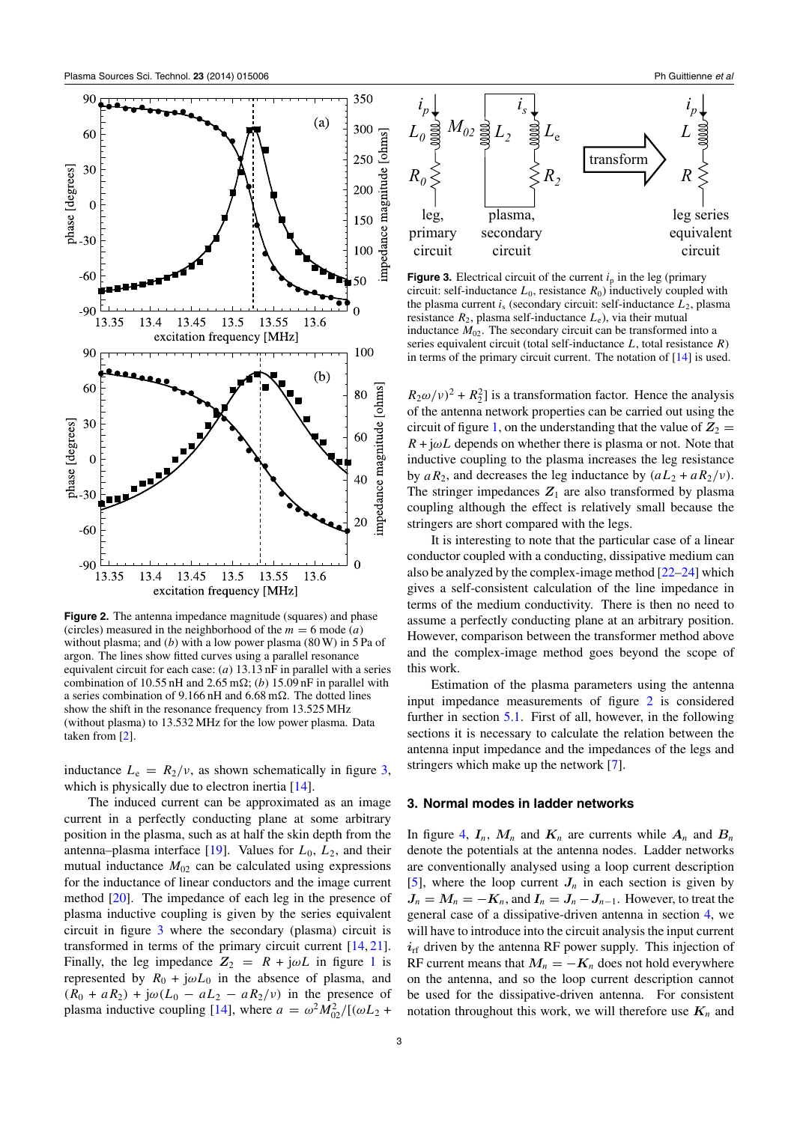<span id="page-2-0"></span>

**Figure 2.** The antenna impedance magnitude (squares) and phase (circles) measured in the neighborhood of the  $m = 6$  mode (*a*) without plasma; and (*b*) with a low power plasma (80 W) in 5 Pa of argon. The lines show fitted curves using a parallel resonance equivalent circuit for each case: (*a*) 13.13 nF in parallel with a series combination of 10.55 nH and 2.65 m $\Omega$ ; (*b*) 15.09 nF in parallel with a series combination of 9.166 nH and 6.68 m $\Omega$ . The dotted lines show the shift in the resonance frequency from 13.525 MHz (without plasma) to 13.532 MHz for the low power plasma. Data taken from [\[2\]](#page-11-0).

inductance  $L_e = R_2/v$ , as shown schematically in figure 3, which is physically due to electron inertia [\[14\]](#page-12-0).

The induced current can be approximated as an image current in a perfectly conducting plane at some arbitrary position in the plasma, such as at half the skin depth from the antenna–plasma interface  $[19]$ . Values for  $L_0$ ,  $L_2$ , and their mutual inductance  $M_{02}$  can be calculated using expressions for the inductance of linear conductors and the image current method [\[20\]](#page-12-0). The impedance of each leg in the presence of plasma inductive coupling is given by the series equivalent circuit in figure 3 where the secondary (plasma) circuit is transformed in terms of the primary circuit current [\[14,](#page-12-0) [21\]](#page-12-0). Finally, the leg impedance  $Z_2 = R + j\omega L$  in figure [1](#page-1-0) is represented by  $R_0 + j\omega L_0$  in the absence of plasma, and  $(R_0 + aR_2) + j\omega(L_0 - aL_2 - aR_2/\nu)$  in the presence of plasma inductive coupling [\[14\]](#page-12-0), where  $a = \omega^2 M_{02}^2/[(\omega L_2 +$ 



**Figure 3.** Electrical circuit of the current  $i<sub>p</sub>$  in the leg (primary circuit: self-inductance  $L_0$ , resistance  $R_0$ ) inductively coupled with the plasma current  $i<sub>s</sub>$  (secondary circuit: self-inductance  $L<sub>2</sub>$ , plasma resistance  $R_2$ , plasma self-inductance  $L_e$ ), via their mutual inductance  $M_{02}$ . The secondary circuit can be transformed into a series equivalent circuit (total self-inductance *L*, total resistance *R*) in terms of the primary circuit current. The notation of [\[14\]](#page-12-0) is used.

 $R_2\omega/\nu$ <sup>2</sup> +  $R_2$ <sup>2</sup>] is a transformation factor. Hence the analysis of the antenna network properties can be carried out using the circuit of figure [1,](#page-1-0) on the understanding that the value of  $Z_2 =$  $R + j\omega L$  depends on whether there is plasma or not. Note that inductive coupling to the plasma increases the leg resistance by  $aR_2$ , and decreases the leg inductance by  $(aL_2 + aR_2/v)$ . The stringer impedances  $Z_1$  are also transformed by plasma coupling although the effect is relatively small because the stringers are short compared with the legs.

It is interesting to note that the particular case of a linear conductor coupled with a conducting, dissipative medium can also be analyzed by the complex-image method [\[22–24\]](#page-12-0) which gives a self-consistent calculation of the line impedance in terms of the medium conductivity. There is then no need to assume a perfectly conducting plane at an arbitrary position. However, comparison between the transformer method above and the complex-image method goes beyond the scope of this work.

Estimation of the plasma parameters using the antenna input impedance measurements of figure 2 is considered further in section [5.1.](#page-9-0) First of all, however, in the following sections it is necessary to calculate the relation between the antenna input impedance and the impedances of the legs and stringers which make up the network [\[7\]](#page-11-0).

#### **3. Normal modes in ladder networks**

In figure [4,](#page-3-0)  $I_n$ ,  $M_n$  and  $K_n$  are currents while  $A_n$  and  $B_n$ denote the potentials at the antenna nodes. Ladder networks are conventionally analysed using a loop current description [\[5\]](#page-11-0), where the loop current  $J_n$  in each section is given by  $J_n = M_n = -K_n$ , and  $I_n = J_n - J_{n-1}$ . However, to treat the general case of a dissipative-driven antenna in section [4,](#page-4-0) we will have to introduce into the circuit analysis the input current  $i_{\text{rf}}$  driven by the antenna RF power supply. This injection of RF current means that  $M_n = -K_n$  does not hold everywhere on the antenna, and so the loop current description cannot be used for the dissipative-driven antenna. For consistent notation throughout this work, we will therefore use  $K_n$  and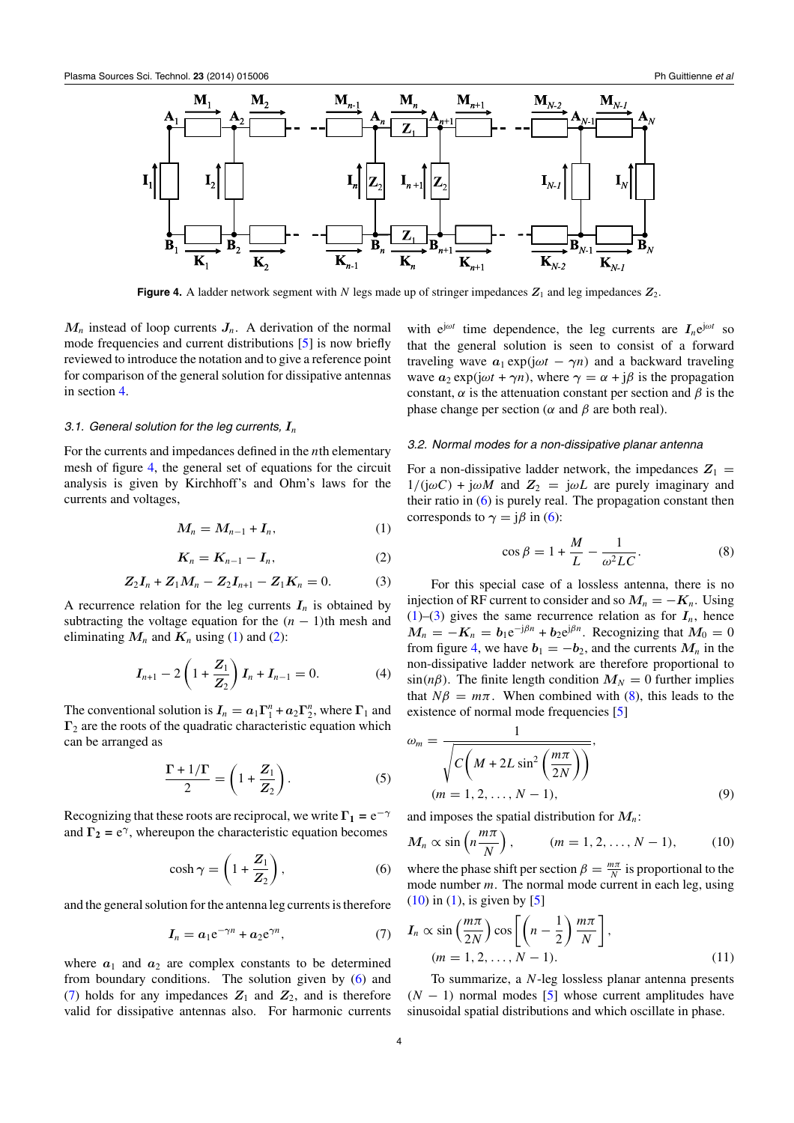<span id="page-3-0"></span>

**Figure 4.** A ladder network segment with *N* legs made up of stringer impedances  $Z_1$  and leg impedances  $Z_2$ .

 $M<sub>n</sub>$  instead of loop currents  $J<sub>n</sub>$ . A derivation of the normal mode frequencies and current distributions [\[5\]](#page-11-0) is now briefly reviewed to introduce the notation and to give a reference point for comparison of the general solution for dissipative antennas in section [4.](#page-4-0)

#### *3.1. General solution for the leg currents, I<sup>n</sup>*

For the currents and impedances defined in the *n*th elementary mesh of figure 4, the general set of equations for the circuit analysis is given by Kirchhoff's and Ohm's laws for the currents and voltages,

$$
M_n = M_{n-1} + I_n, \tag{1}
$$

$$
K_n = K_{n-1} - I_n, \tag{2}
$$

$$
Z_2I_n + Z_1M_n - Z_2I_{n+1} - Z_1K_n = 0.
$$
 (3)

A recurrence relation for the leg currents  $I_n$  is obtained by subtracting the voltage equation for the  $(n - 1)$ th mesh and eliminating  $M_n$  and  $K_n$  using (1) and (2):

$$
I_{n+1} - 2\left(1 + \frac{Z_1}{Z_2}\right)I_n + I_{n-1} = 0.
$$
 (4)

The conventional solution is  $I_n = a_1 \Gamma_1^n + a_2 \Gamma_2^n$ , where  $\Gamma_1$  and **Γ**<sup>2</sup> are the roots of the quadratic characteristic equation which can be arranged as

$$
\frac{\Gamma + 1/\Gamma}{2} = \left(1 + \frac{Z_1}{Z_2}\right). \tag{5}
$$

Recognizing that these roots are reciprocal, we write  $\Gamma_1 = e^{-\gamma}$ and  $\Gamma_2 = e^{\gamma}$ , whereupon the characteristic equation becomes

$$
\cosh \gamma = \left(1 + \frac{Z_1}{Z_2}\right),\tag{6}
$$

and the general solution for the antenna leg currents is therefore

$$
I_n = a_1 e^{-\gamma n} + a_2 e^{\gamma n}, \qquad (7)
$$

where  $a_1$  and  $a_2$  are complex constants to be determined from boundary conditions. The solution given by (6) and (7) holds for any impedances  $Z_1$  and  $Z_2$ , and is therefore valid for dissipative antennas also. For harmonic currents with  $e^{j\omega t}$  time dependence, the leg currents are  $I_n e^{j\omega t}$  so that the general solution is seen to consist of a forward traveling wave  $a_1 \exp(j\omega t - \gamma n)$  and a backward traveling wave  $a_2 \exp(j\omega t + \gamma n)$ , where  $\gamma = \alpha + j\beta$  is the propagation constant,  $\alpha$  is the attenuation constant per section and  $\beta$  is the phase change per section ( $\alpha$  and  $\beta$  are both real).

### *3.2. Normal modes for a non-dissipative planar antenna*

For a non-dissipative ladder network, the impedances  $Z_1$  =  $1/(\mathrm{j}\omega C) + \mathrm{j}\omega M$  and  $Z_2 = \mathrm{j}\omega L$  are purely imaginary and their ratio in  $(6)$  is purely real. The propagation constant then corresponds to  $\gamma = i\beta$  in (6):

$$
\cos \beta = 1 + \frac{M}{L} - \frac{1}{\omega^2 LC}.
$$
 (8)

For this special case of a lossless antenna, there is no injection of RF current to consider and so  $M_n = -K_n$ . Using  $(1)$ –(3) gives the same recurrence relation as for  $I_n$ , hence  $M_n = -K_n = b_1 e^{-j\beta n} + b_2 e^{j\beta n}$ . Recognizing that  $M_0 = 0$ from figure 4, we have  $b_1 = -b_2$ , and the currents  $M_n$  in the non-dissipative ladder network are therefore proportional to  $\sin(n\beta)$ . The finite length condition  $M_N = 0$  further implies that  $N\beta = m\pi$ . When combined with (8), this leads to the existence of normal mode frequencies [\[5\]](#page-11-0)

$$
\omega_m = \frac{1}{\sqrt{C\left(M + 2L\sin^2\left(\frac{m\pi}{2N}\right)\right)}},
$$
  
( $m = 1, 2, ..., N - 1$ ), (9)

and imposes the spatial distribution for *Mn*:

$$
M_n \propto \sin\left(n\frac{m\pi}{N}\right), \qquad (m = 1, 2, \dots, N-1), \qquad (10)
$$

where the phase shift per section  $\beta = \frac{m\pi}{N}$  is proportional to the mode number *m*. The normal mode current in each leg, using  $(10)$  in  $(1)$ , is given by  $[5]$ 

$$
I_n \propto \sin\left(\frac{m\pi}{2N}\right)\cos\left[\left(n-\frac{1}{2}\right)\frac{m\pi}{N}\right],
$$
  
(*m* = 1, 2, ..., *N* - 1). (11)

To summarize, a *N*-leg lossless planar antenna presents  $(N - 1)$  normal modes [\[5\]](#page-11-0) whose current amplitudes have sinusoidal spatial distributions and which oscillate in phase.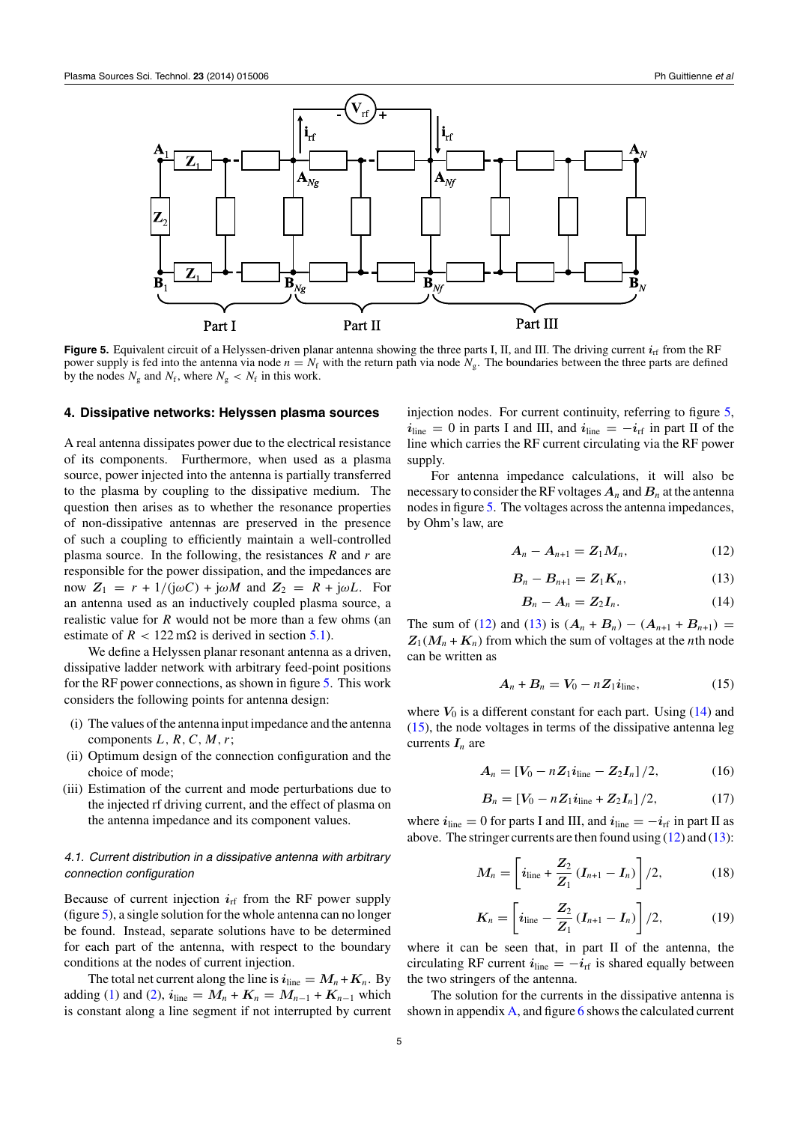<span id="page-4-0"></span>

**Figure 5.** Equivalent circuit of a Helyssen-driven planar antenna showing the three parts I, II, and III. The driving current  $i<sub>rf</sub>$  from the RF power supply is fed into the antenna via node  $n = N_f$  with the return path via node  $N_g$ . The boundaries between the three parts are defined by the nodes  $N_g$  and  $N_f$ , where  $N_g < N_f$  in this work.

### **4. Dissipative networks: Helyssen plasma sources**

A real antenna dissipates power due to the electrical resistance of its components. Furthermore, when used as a plasma source, power injected into the antenna is partially transferred to the plasma by coupling to the dissipative medium. The question then arises as to whether the resonance properties of non-dissipative antennas are preserved in the presence of such a coupling to efficiently maintain a well-controlled plasma source. In the following, the resistances *R* and *r* are responsible for the power dissipation, and the impedances are now  $Z_1 = r + 1/(\mathbf{i}\omega C) + \mathbf{i}\omega M$  and  $Z_2 = R + \mathbf{i}\omega L$ . For an antenna used as an inductively coupled plasma source, a realistic value for *R* would not be more than a few ohms (an estimate of  $R < 122 \text{ m}\Omega$  is derived in section [5.1\)](#page-9-0).

We define a Helyssen planar resonant antenna as a driven, dissipative ladder network with arbitrary feed-point positions for the RF power connections, as shown in figure 5. This work considers the following points for antenna design:

- (i) The values of the antenna input impedance and the antenna components *L, R,C,M, r*;
- (ii) Optimum design of the connection configuration and the choice of mode;
- (iii) Estimation of the current and mode perturbations due to the injected rf driving current, and the effect of plasma on the antenna impedance and its component values.

## *4.1. Current distribution in a dissipative antenna with arbitrary connection configuration*

Because of current injection  $i_{rf}$  from the RF power supply (figure 5), a single solution for the whole antenna can no longer be found. Instead, separate solutions have to be determined for each part of the antenna, with respect to the boundary conditions at the nodes of current injection.

The total net current along the line is  $i_{\text{line}} = M_n + K_n$ . By adding [\(1\)](#page-3-0) and [\(2\)](#page-3-0),  $i_{\text{line}} = M_n + K_n = M_{n-1} + K_{n-1}$  which is constant along a line segment if not interrupted by current

injection nodes. For current continuity, referring to figure 5,  $i_{\text{line}} = 0$  in parts I and III, and  $i_{\text{line}} = -i_{\text{rf}}$  in part II of the line which carries the RF current circulating via the RF power supply.

For antenna impedance calculations, it will also be necessary to consider the RF voltages  $A_n$  and  $B_n$  at the antenna nodes in figure 5. The voltages across the antenna impedances, by Ohm's law, are

$$
\boldsymbol{A}_n - \boldsymbol{A}_{n+1} = \boldsymbol{Z}_1 \boldsymbol{M}_n, \tag{12}
$$

$$
B_n - B_{n+1} = Z_1 K_n, \qquad (13)
$$

$$
B_n - A_n = Z_2 I_n. \tag{14}
$$

The sum of (12) and (13) is  $(A_n + B_n) - (A_{n+1} + B_{n+1}) =$  $Z_1(M_n + K_n)$  from which the sum of voltages at the *n*th node can be written as

$$
A_n + B_n = V_0 - nZ_1 i_{\text{line}}, \qquad (15)
$$

where  $V_0$  is a different constant for each part. Using  $(14)$  and (15), the node voltages in terms of the dissipative antenna leg currents  $I_n$  are

$$
A_n = [V_0 - nZ_1 i_{\text{line}} - Z_2 I_n]/2, \qquad (16)
$$

$$
B_n = [V_0 - nZ_1 i_{\text{line}} + Z_2 I_n]/2, \qquad (17)
$$

where  $i_{\text{line}} = 0$  for parts I and III, and  $i_{\text{line}} = -i_{\text{rf}}$  in part II as above. The stringer currents are then found using  $(12)$  and  $(13)$ :

$$
M_n = \left[ i_{\text{line}} + \frac{Z_2}{Z_1} (I_{n+1} - I_n) \right] / 2, \tag{18}
$$

$$
K_n = \left[ i_{\text{line}} - \frac{Z_2}{Z_1} (I_{n+1} - I_n) \right] / 2, \tag{19}
$$

where it can be seen that, in part II of the antenna, the circulating RF current  $i_{\text{line}} = -i_{\text{rf}}$  is shared equally between the two stringers of the antenna.

The solution for the currents in the dissipative antenna is shown in appendix  $\overline{A}$ , and figure [6](#page-5-0) shows the calculated current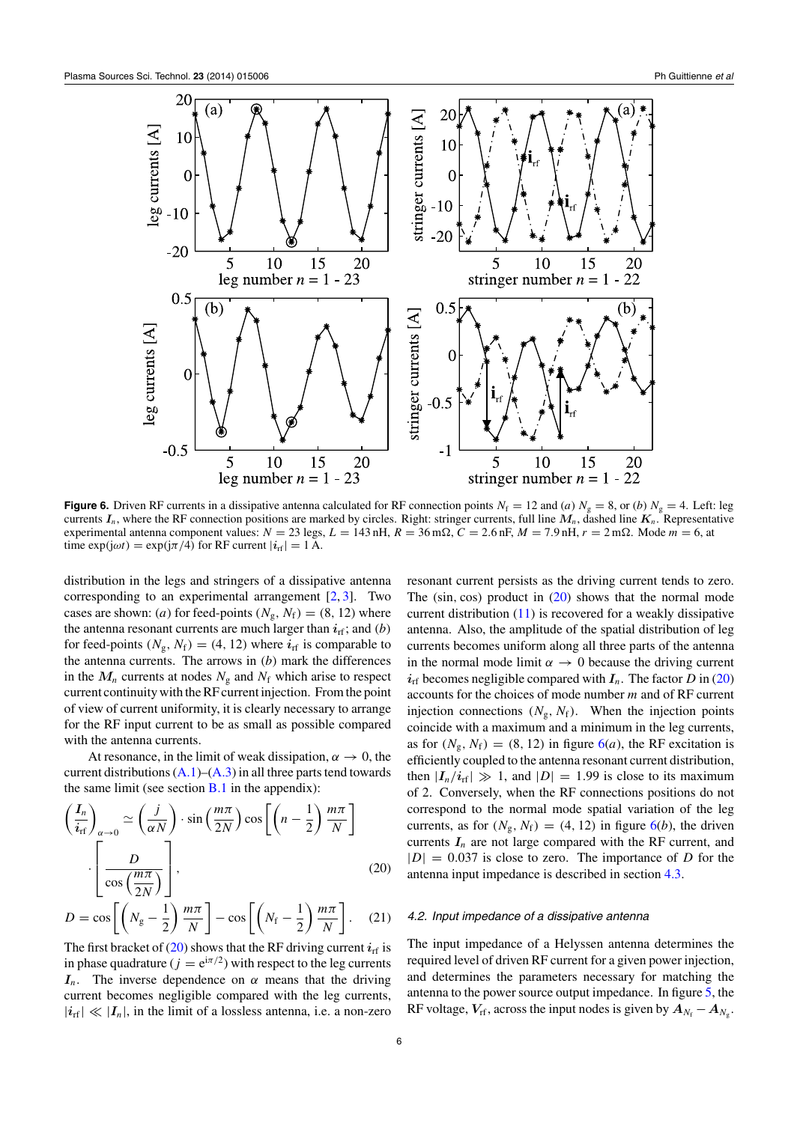<span id="page-5-0"></span>

**Figure 6.** Driven RF currents in a dissipative antenna calculated for RF connection points  $N_f = 12$  and (*a*)  $N_g = 8$ , or (*b*)  $N_g = 4$ . Left: leg currents  $I_n$ , where the RF connection positions are marked by circles. Right: stringer currents, full line  $M_n$ , dashed line  $K_n$ . Representative experimental antenna component values:  $N = 23$  legs,  $L = 143$  nH,  $R = 36$  mΩ,  $C = 2.6$  nF,  $M = 7.9$  nH,  $r = 2$  mΩ. Mode  $m = 6$ , at time  $\exp(j\omega t) = \exp(j\pi/4)$  for RF current  $|i_{\text{rf}}| = 1$  A.

distribution in the legs and stringers of a dissipative antenna corresponding to an experimental arrangement [\[2,](#page-11-0) [3\]](#page-11-0). Two cases are shown: *(a)* for feed-points  $(N_g, N_f) = (8, 12)$  where the antenna resonant currents are much larger than *i*rf; and *(b)* for feed-points  $(N_g, N_f) = (4, 12)$  where  $i_{\rm rf}$  is comparable to the antenna currents. The arrows in *(b)* mark the differences in the  $M_n$  currents at nodes  $N_g$  and  $N_f$  which arise to respect current continuity with the RF current injection. From the point of view of current uniformity, it is clearly necessary to arrange for the RF input current to be as small as possible compared with the antenna currents.

At resonance, in the limit of weak dissipation,  $\alpha \rightarrow 0$ , the current distributions  $(A.1)$ – $(A.3)$  in all three parts tend towards the same limit (see section  $B.1$  in the appendix):

$$
\left(\frac{I_n}{i_{\text{rf}}}\right)_{\alpha \to 0} \simeq \left(\frac{j}{\alpha N}\right) \cdot \sin\left(\frac{m\pi}{2N}\right) \cos\left[\left(n - \frac{1}{2}\right)\frac{m\pi}{N}\right]
$$
\n
$$
\cdot \left[\frac{D}{\cos\left(\frac{m\pi}{2N}\right)}\right],
$$
\n(20)

$$
D = \cos\left[\left(N_g - \frac{1}{2}\right)\frac{m\pi}{N}\right] - \cos\left[\left(N_f - \frac{1}{2}\right)\frac{m\pi}{N}\right].
$$
 (21)

The first bracket of  $(20)$  shows that the RF driving current  $i_{\text{rf}}$  is in phase quadrature ( $j = e^{i\pi/2}$ ) with respect to the leg currents *I<sub>n</sub>*. The inverse dependence on *α* means that the driving current becomes negligible compared with the leg currents,  $|i_{\text{rf}}| \ll |I_n|$ , in the limit of a lossless antenna, i.e. a non-zero

resonant current persists as the driving current tends to zero. The (sin, cos) product in [\(20\)](#page-4-0) shows that the normal mode current distribution [\(11\)](#page-3-0) is recovered for a weakly dissipative antenna. Also, the amplitude of the spatial distribution of leg currents becomes uniform along all three parts of the antenna in the normal mode limit  $\alpha \rightarrow 0$  because the driving current  $i_{\text{rf}}$  becomes negligible compared with  $I_n$ . The factor *D* in [\(20\)](#page-4-0) accounts for the choices of mode number *m* and of RF current injection connections  $(N_g, N_f)$ . When the injection points coincide with a maximum and a minimum in the leg currents, as for  $(N_g, N_f) = (8, 12)$  in figure  $6(a)$ , the RF excitation is efficiently coupled to the antenna resonant current distribution, then  $|I_n/i_{\text{rf}}| \gg 1$ , and  $|D| = 1.99$  is close to its maximum of 2. Conversely, when the RF connections positions do not correspond to the normal mode spatial variation of the leg currents, as for  $(N_g, N_f) = (4, 12)$  in figure 6(*b*), the driven currents  $I_n$  are not large compared with the RF current, and  $|D| = 0.037$  is close to zero. The importance of *D* for the antenna input impedance is described in section [4.3.](#page-6-0)

#### *4.2. Input impedance of a dissipative antenna*

The input impedance of a Helyssen antenna determines the required level of driven RF current for a given power injection, and determines the parameters necessary for matching the antenna to the power source output impedance. In figure [5,](#page-4-0) the RF voltage,  $V_{\text{rf}}$ , across the input nodes is given by  $A_{N_f} - A_{N_g}$ .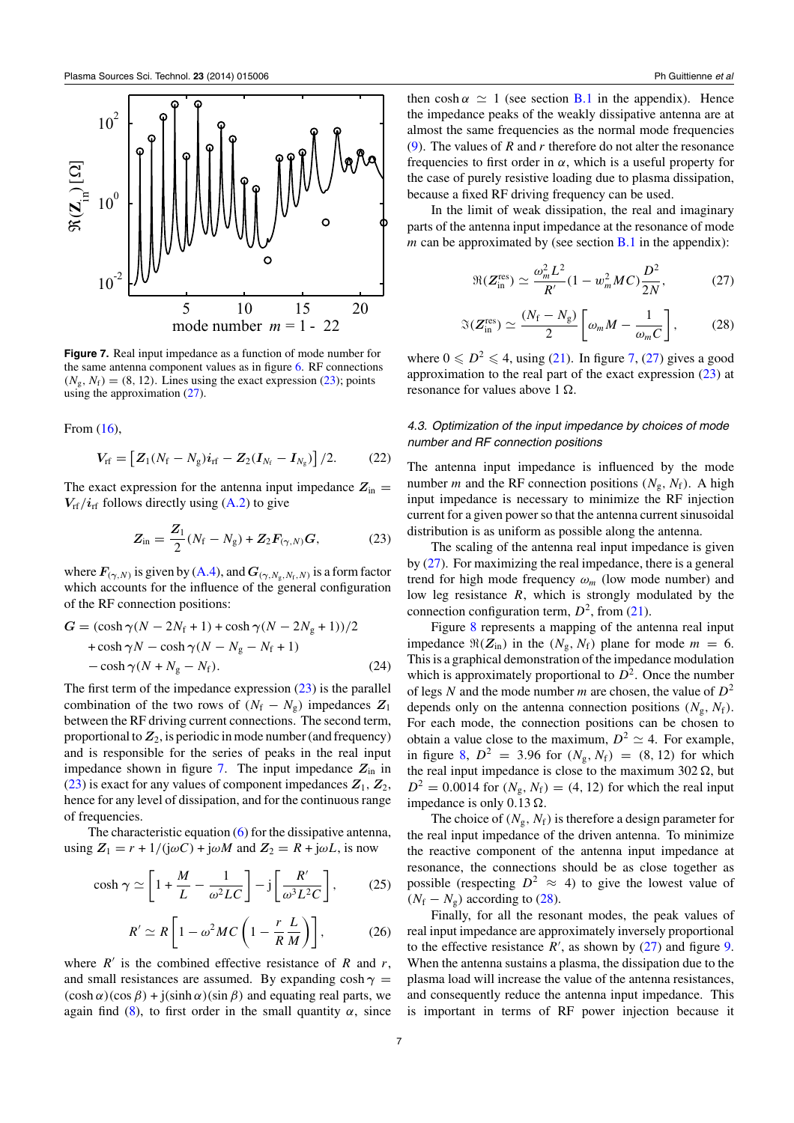<span id="page-6-0"></span>

**Figure 7.** Real input impedance as a function of mode number for the same antenna component values as in figure [6.](#page-5-0) RF connections  $(N_g, N_f) = (8, 12)$ . Lines using the exact expression (23); points using the approximation (27).

From [\(16\)](#page-4-0),

$$
V_{\rm rf} = [Z_1(N_{\rm f} - N_{\rm g})i_{\rm rf} - Z_2(I_{N_{\rm f}} - I_{N_{\rm g}})]/2.
$$
 (22)

The exact expression for the antenna input impedance  $Z_{\text{in}} =$  $V_{\text{rf}}/i_{\text{rf}}$  follows directly using [\(A.2\)](#page-10-0) to give

$$
Z_{\rm in} = \frac{Z_1}{2}(N_{\rm f} - N_{\rm g}) + Z_2 F_{(\gamma, N)} G, \tag{23}
$$

where  $\mathbf{F}_{(\gamma, N)}$  is given by [\(A.4\)](#page-10-0), and  $\mathbf{G}_{(\gamma, N_{\rm g}, N_{\rm f}, N)}$  is a form factor which accounts for the influence of the general configuration of the RF connection positions:

$$
G = (\cosh \gamma (N - 2N_{\rm f} + 1) + \cosh \gamma (N - 2N_{\rm g} + 1))/2
$$
  
+ 
$$
\cosh \gamma N - \cosh \gamma (N - N_{\rm g} - N_{\rm f} + 1)
$$
  
- 
$$
\cosh \gamma (N + N_{\rm g} - N_{\rm f}).
$$
 (24)

The first term of the impedance expression  $(23)$  is the parallel combination of the two rows of  $(N_f - N_g)$  impedances  $Z_1$ between the RF driving current connections. The second term, proportional to  $Z_2$ , is periodic in mode number (and frequency) and is responsible for the series of peaks in the real input impedance shown in figure 7. The input impedance  $Z_{\text{in}}$  in (23) is exact for any values of component impedances  $Z_1$ ,  $Z_2$ , hence for any level of dissipation, and for the continuous range of frequencies.

The characteristic equation  $(6)$  for the dissipative antenna, using  $Z_1 = r + 1/(j\omega C) + j\omega M$  and  $Z_2 = R + j\omega L$ , is now

$$
\cosh \gamma \simeq \left[1 + \frac{M}{L} - \frac{1}{\omega^2 LC}\right] - j\left[\frac{R'}{\omega^3 L^2 C}\right],\tag{25}
$$

$$
R' \simeq R \left[ 1 - \omega^2 M C \left( 1 - \frac{r}{R} \frac{L}{M} \right) \right],
$$
 (26)

where  $R'$  is the combined effective resistance of  $R$  and  $r$ , and small resistances are assumed. By expanding  $cosh \gamma =$  $(\cosh \alpha)(\cos \beta) + j(\sinh \alpha)(\sin \beta)$  and equating real parts, we again find  $(8)$ , to first order in the small quantity  $\alpha$ , since then cosh  $\alpha \simeq 1$  (see section [B.1](#page-11-0) in the appendix). Hence the impedance peaks of the weakly dissipative antenna are at almost the same frequencies as the normal mode frequencies [\(9\)](#page-3-0). The values of *R* and *r* therefore do not alter the resonance frequencies to first order in  $\alpha$ , which is a useful property for the case of purely resistive loading due to plasma dissipation, because a fixed RF driving frequency can be used.

In the limit of weak dissipation, the real and imaginary parts of the antenna input impedance at the resonance of mode *m* can be approximated by (see section  $\overline{B.1}$  $\overline{B.1}$  $\overline{B.1}$  in the appendix):

$$
\Re(Z_{\rm in}^{\rm res}) \simeq \frac{\omega_m^2 L^2}{R'} (1 - w_m^2 MC) \frac{D^2}{2N},\tag{27}
$$

$$
\mathfrak{S}(\mathbf{Z}_{\text{in}}^{\text{res}}) \simeq \frac{(N_{\text{f}} - N_{\text{g}})}{2} \left[ \omega_m M - \frac{1}{\omega_m C} \right],\tag{28}
$$

where  $0 \n\t\leq D^2 \leq 4$ , using [\(21\)](#page-4-0). In figure 7, (27) gives a good approximation to the real part of the exact expression  $(23)$  at resonance for values above  $1 \Omega$ .

## *4.3. Optimization of the input impedance by choices of mode number and RF connection positions*

The antenna input impedance is influenced by the mode number *m* and the RF connection positions  $(N_g, N_f)$ . A high input impedance is necessary to minimize the RF injection current for a given power so that the antenna current sinusoidal distribution is as uniform as possible along the antenna.

The scaling of the antenna real input impedance is given by (27). For maximizing the real impedance, there is a general trend for high mode frequency *ωm* (low mode number) and low leg resistance *R*, which is strongly modulated by the connection configuration term,  $D^2$ , from [\(21\)](#page-4-0).

Figure [8](#page-7-0) represents a mapping of the antenna real input impedance  $\Re(Z_{\text{in}})$  in the  $(N_g, N_f)$  plane for mode  $m = 6$ . This is a graphical demonstration of the impedance modulation which is approximately proportional to  $D<sup>2</sup>$ . Once the number of legs *N* and the mode number *m* are chosen, the value of *D*<sup>2</sup> depends only on the antenna connection positions  $(N_g, N_f)$ . For each mode, the connection positions can be chosen to obtain a value close to the maximum,  $D^2 \simeq 4$ . For example, in figure [8,](#page-7-0)  $D^2 = 3.96$  for  $(N_g, N_f) = (8, 12)$  for which the real input impedance is close to the maximum 302  $\Omega$ , but  $D^2 = 0.0014$  for  $(N_g, N_f) = (4, 12)$  for which the real input impedance is only  $0.13 \Omega$ .

The choice of  $(N_g, N_f)$  is therefore a design parameter for the real input impedance of the driven antenna. To minimize the reactive component of the antenna input impedance at resonance, the connections should be as close together as possible (respecting  $D^2 \approx 4$ ) to give the lowest value of  $(N_f - N_g)$  according to (28).

Finally, for all the resonant modes, the peak values of real input impedance are approximately inversely proportional to the effective resistance  $R'$ , as shown by  $(27)$  and figure [9.](#page-7-0) When the antenna sustains a plasma, the dissipation due to the plasma load will increase the value of the antenna resistances, and consequently reduce the antenna input impedance. This is important in terms of RF power injection because it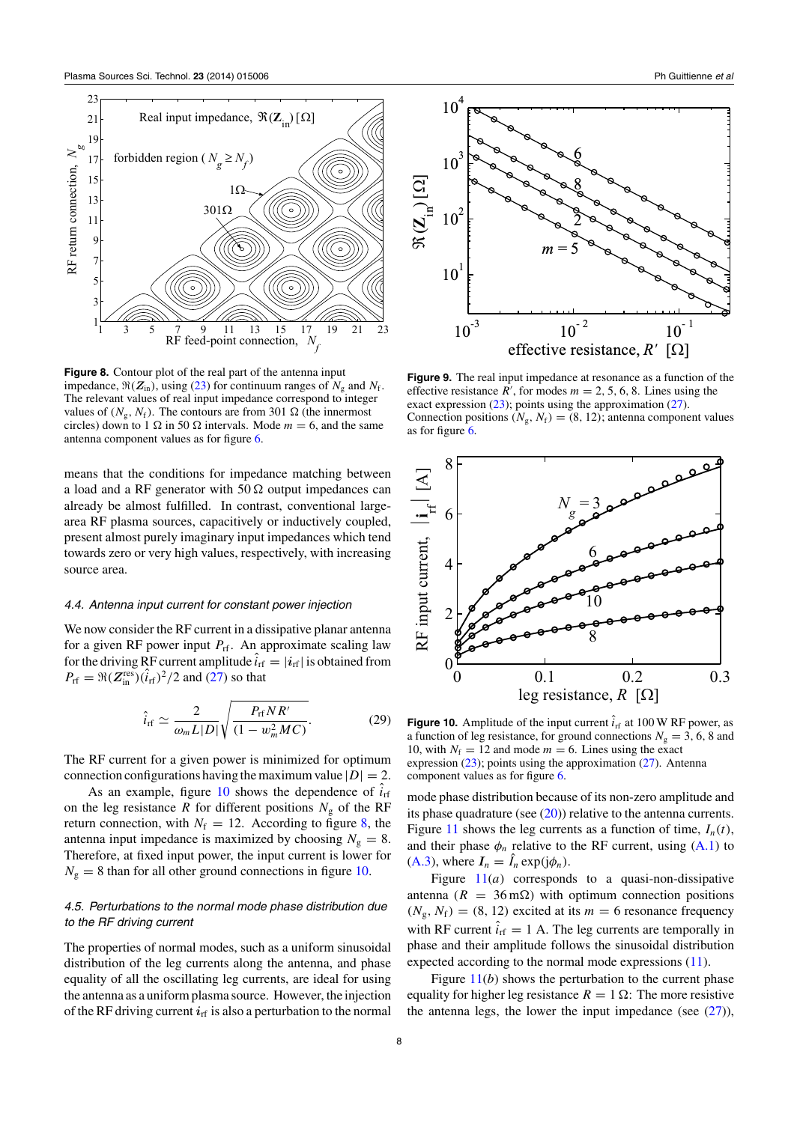<span id="page-7-0"></span>

**Figure 8.** Contour plot of the real part of the antenna input impedance,  $\Re(Z_{in})$ , using [\(23\)](#page-6-0) for continuum ranges of  $N_g$  and  $N_f$ . The relevant values of real input impedance correspond to integer values of  $(N_g, N_f)$ . The contours are from 301  $\Omega$  (the innermost circles) down to 1  $\Omega$  in 50  $\Omega$  intervals. Mode  $m = 6$ , and the same antenna component values as for figure [6.](#page-5-0)

means that the conditions for impedance matching between a load and a RF generator with  $50 \Omega$  output impedances can already be almost fulfilled. In contrast, conventional largearea RF plasma sources, capacitively or inductively coupled, present almost purely imaginary input impedances which tend towards zero or very high values, respectively, with increasing source area.

## *4.4. Antenna input current for constant power injection*

We now consider the RF current in a dissipative planar antenna for a given RF power input  $P_{\text{rf}}$ . An approximate scaling law for the driving RF current amplitude  $i_{\text{rf}} = |\mathbf{i}_{\text{rf}}|$  is obtained from  $P_{\text{rf}} = \Re(Z_{\text{in}}^{\text{res}})(\hat{i}_{\text{rf}})^2/2$  and [\(27\)](#page-6-0) so that

$$
\hat{i}_{\rm rf} \simeq \frac{2}{\omega_m L|D|} \sqrt{\frac{P_{\rm rf} N R'}{(1 - w_m^2 M C)}}.\tag{29}
$$

The RF current for a given power is minimized for optimum connection configurations having the maximum value  $|D| = 2$ .

As an example, figure  $10$  shows the dependence of  $i<sub>rf</sub>$ on the leg resistance *R* for different positions  $N<sub>g</sub>$  of the RF return connection, with  $N_f = 12$ . According to figure 8, the antenna input impedance is maximized by choosing  $N<sub>g</sub> = 8$ . Therefore, at fixed input power, the input current is lower for  $N_g = 8$  than for all other ground connections in figure 10.

## *4.5. Perturbations to the normal mode phase distribution due to the RF driving current*

The properties of normal modes, such as a uniform sinusoidal distribution of the leg currents along the antenna, and phase equality of all the oscillating leg currents, are ideal for using the antenna as a uniform plasma source. However, the injection of the RF driving current  $i_{\text{rf}}$  is also a perturbation to the normal



**Figure 9.** The real input impedance at resonance as a function of the effective resistance  $R'$ , for modes  $m = 2, 5, 6, 8$ . Lines using the exact expression [\(23\)](#page-6-0); points using the approximation [\(27\)](#page-6-0). Connection positions  $(N_g, N_f) = (8, 12)$ ; antenna component values as for figure [6.](#page-5-0)



**Figure 10.** Amplitude of the input current  $\hat{i}_{\text{rf}}$  at 100 W RF power, as a function of leg resistance, for ground connections  $N_g = 3$ , 6, 8 and 10, with  $N_f = 12$  and mode  $m = 6$ . Lines using the exact expression [\(23\)](#page-6-0); points using the approximation [\(27\)](#page-6-0). Antenna component values as for figure [6.](#page-5-0)

mode phase distribution because of its non-zero amplitude and its phase quadrature (see  $(20)$ ) relative to the antenna currents. Figure [11](#page-8-0) shows the leg currents as a function of time,  $I_n(t)$ , and their phase  $\phi_n$  relative to the RF current, using  $(A.1)$  to [\(A.3\)](#page-10-0), where  $I_n = \hat{I}_n \exp(j\phi_n)$ .

Figure  $11(a)$  $11(a)$  corresponds to a quasi-non-dissipative antenna ( $R = 36$  m $\Omega$ ) with optimum connection positions  $(N_g, N_f) = (8, 12)$  excited at its  $m = 6$  resonance frequency with RF current  $\hat{i}_{\text{rf}} = 1$  A. The leg currents are temporally in phase and their amplitude follows the sinusoidal distribution expected according to the normal mode expressions [\(11\)](#page-3-0).

Figure  $11(b)$  $11(b)$  shows the perturbation to the current phase equality for higher leg resistance  $R = 1 \Omega$ : The more resistive the antenna legs, the lower the input impedance (see  $(27)$ ),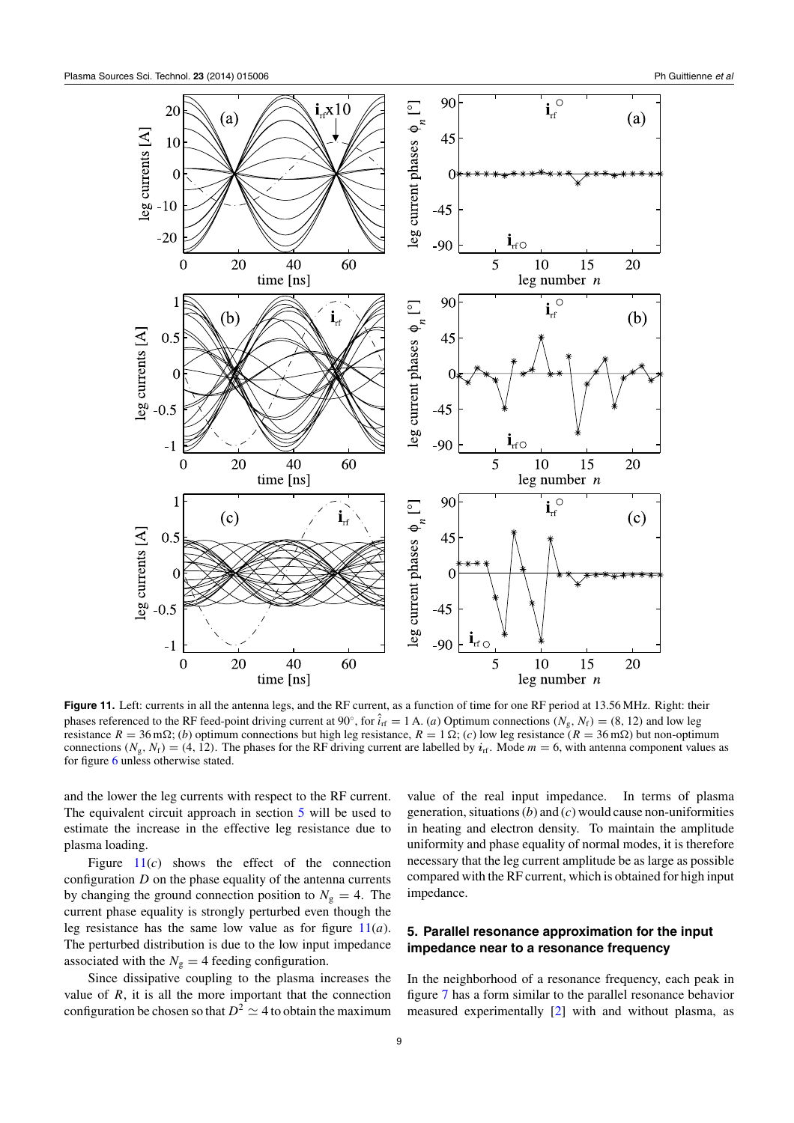<span id="page-8-0"></span>

**Figure 11.** Left: currents in all the antenna legs, and the RF current, as a function of time for one RF period at 13.56 MHz. Right: their phases referenced to the RF feed-point driving current at 90°, for  $i_{\text{rf}} = 1 \text{ A}$ . *(a)* Optimum connections  $(N_g, N_f) = (8, 12)$  and low leg resistance  $R = 36$  m $\Omega$ ; (*b*) optimum connections but high leg resistance,  $R = 1 \Omega$ ; (*c*) low leg resistance ( $R = 36$  m $\Omega$ ) but non-optimum connections  $(N_g, N_f) = (4, 12)$ . The phases for the RF driving current are labelled by  $i_{rf}$ . Mode  $m = 6$ , with antenna component values as for figure [6](#page-5-0) unless otherwise stated.

and the lower the leg currents with respect to the RF current. The equivalent circuit approach in section 5 will be used to estimate the increase in the effective leg resistance due to plasma loading.

Figure 11(*c*) shows the effect of the connection configuration *D* on the phase equality of the antenna currents by changing the ground connection position to  $N_g = 4$ . The current phase equality is strongly perturbed even though the leg resistance has the same low value as for figure 11(*a*). The perturbed distribution is due to the low input impedance associated with the  $N_g = 4$  feeding configuration.

Since dissipative coupling to the plasma increases the value of  $R$ , it is all the more important that the connection configuration be chosen so that  $D^2 \simeq 4$  to obtain the maximum value of the real input impedance. In terms of plasma generation, situations (*b*) and (*c*) would cause non-uniformities in heating and electron density. To maintain the amplitude uniformity and phase equality of normal modes, it is therefore necessary that the leg current amplitude be as large as possible compared with the RF current, which is obtained for high input impedance.

## **5. Parallel resonance approximation for the input impedance near to a resonance frequency**

In the neighborhood of a resonance frequency, each peak in figure [7](#page-6-0) has a form similar to the parallel resonance behavior measured experimentally [\[2\]](#page-11-0) with and without plasma, as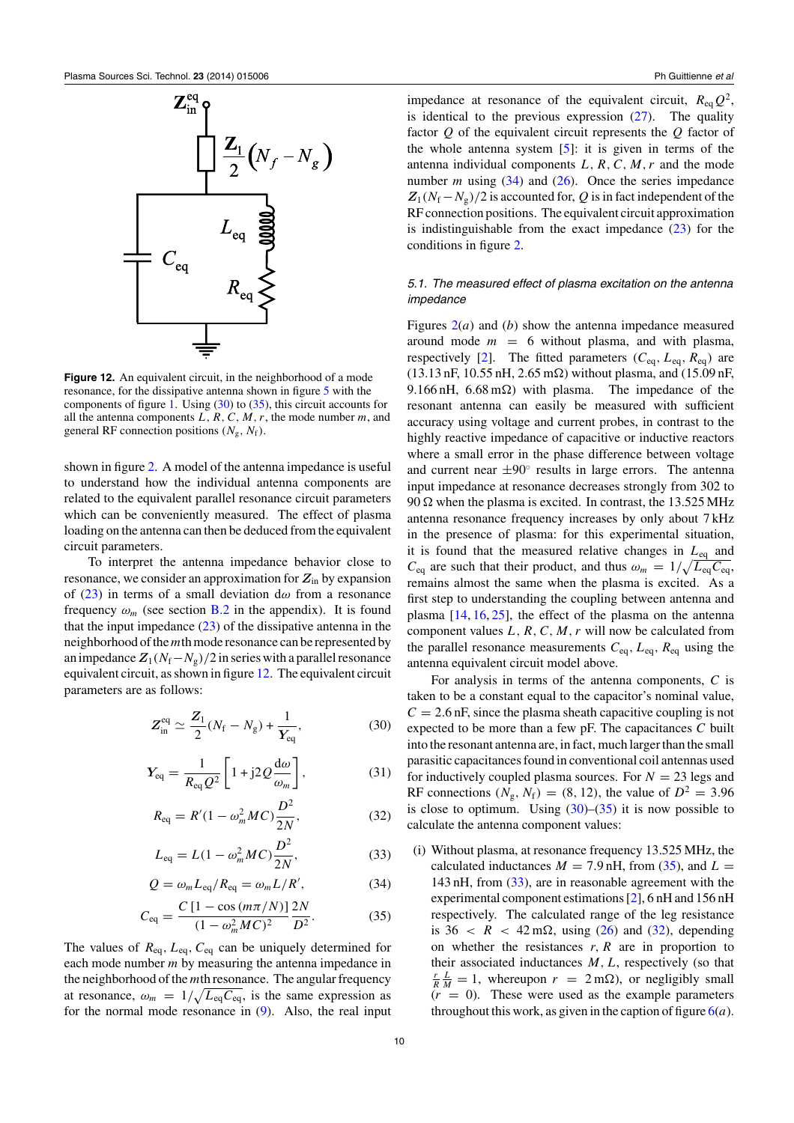<span id="page-9-0"></span>

**Figure 12.** An equivalent circuit, in the neighborhood of a mode resonance, for the dissipative antenna shown in figure [5](#page-4-0) with the components of figure [1.](#page-1-0) Using (30) to (35), this circuit accounts for all the antenna components *L, R,C,M, r*, the mode number *m*, and general RF connection positions  $(N_g, N_f)$ .

shown in figure [2.](#page-2-0) A model of the antenna impedance is useful to understand how the individual antenna components are related to the equivalent parallel resonance circuit parameters which can be conveniently measured. The effect of plasma loading on the antenna can then be deduced from the equivalent circuit parameters.

To interpret the antenna impedance behavior close to resonance, we consider an approximation for *Z*in by expansion of [\(23\)](#page-6-0) in terms of a small deviation d*ω* from a resonance frequency  $\omega_m$  (see section **[B.2](#page-11-0)** in the appendix). It is found that the input impedance  $(23)$  of the dissipative antenna in the neighborhood of the*m*th mode resonance can be represented by an impedance  $Z_1(N_f-N_g)/2$  in series with a parallel resonance equivalent circuit, as shown in figure 12. The equivalent circuit parameters are as follows:

$$
Z_{\text{in}}^{\text{eq}} \simeq \frac{Z_1}{2} (N_{\text{f}} - N_{\text{g}}) + \frac{1}{Y_{\text{eq}}},
$$
 (30)

$$
Y_{\text{eq}} = \frac{1}{R_{\text{eq}}Q^2} \left[ 1 + j2Q \frac{\text{d}\omega}{\omega_m} \right],\tag{31}
$$

$$
R_{\text{eq}} = R'(1 - \omega_m^2 MC) \frac{D^2}{2N},\tag{32}
$$

$$
L_{\text{eq}} = L(1 - \omega_m^2 MC) \frac{D^2}{2N},
$$
 (33)

$$
Q = \omega_m L_{\text{eq}} / R_{\text{eq}} = \omega_m L / R', \qquad (34)
$$

$$
C_{\text{eq}} = \frac{C \left[ 1 - \cos \left( \frac{m \pi}{N} \right) \right]}{(1 - \omega_m^2 M C)^2} \frac{2N}{D^2}.
$$
 (35)

The values of *R*eq*, L*eq*, C*eq can be uniquely determined for each mode number *m* by measuring the antenna impedance in the neighborhood of the *m*th resonance. The angular frequency at resonance,  $\omega_m = 1/\sqrt{L_{eq}C_{eq}}$ , is the same expression as for the normal mode resonance in [\(9\)](#page-3-0). Also, the real input impedance at resonance of the equivalent circuit,  $R_{eq}Q^2$ , is identical to the previous expression  $(27)$ . The quality factor *Q* of the equivalent circuit represents the *Q* factor of the whole antenna system  $[5]$ : it is given in terms of the antenna individual components  $L, R, C, M, r$  and the mode number *m* using (34) and [\(26\)](#page-6-0). Once the series impedance  $Z_1(N_f - N_g)/2$  is accounted for, *Q* is in fact independent of the RF connection positions. The equivalent circuit approximation is indistinguishable from the exact impedance  $(23)$  for the conditions in figure [2.](#page-2-0)

## *5.1. The measured effect of plasma excitation on the antenna impedance*

Figures [2\(](#page-2-0)*a*) and (*b*) show the antenna impedance measured around mode  $m = 6$  without plasma, and with plasma, respectively [\[2\]](#page-11-0). The fitted parameters  $(C_{eq}, L_{eq}, R_{eq})$  are  $(13.13 \text{ nF}, 10.55 \text{ nH}, 2.65 \text{ m}\Omega)$  without plasma, and  $(15.09 \text{ nF},$ 9.166 nH, 6.68 m $\Omega$ ) with plasma. The impedance of the resonant antenna can easily be measured with sufficient accuracy using voltage and current probes, in contrast to the highly reactive impedance of capacitive or inductive reactors where a small error in the phase difference between voltage and current near  $\pm 90^\circ$  results in large errors. The antenna input impedance at resonance decreases strongly from 302 to  $90 \Omega$  when the plasma is excited. In contrast, the 13.525 MHz antenna resonance frequency increases by only about 7 kHz in the presence of plasma: for this experimental situation, it is found that the measured relative changes in *L*eq and  $C_{\text{eq}}$  are such that their product, and thus  $\omega_m = 1/\sqrt{L_{\text{eq}}C_{\text{eq}}}$ , remains almost the same when the plasma is excited. As a first step to understanding the coupling between antenna and plasma  $[14, 16, 25]$  $[14, 16, 25]$  $[14, 16, 25]$  $[14, 16, 25]$  $[14, 16, 25]$ , the effect of the plasma on the antenna component values *L, R,C,M, r* will now be calculated from the parallel resonance measurements  $C_{eq}$ ,  $L_{eq}$ ,  $R_{eq}$  using the antenna equivalent circuit model above.

For analysis in terms of the antenna components, *C* is taken to be a constant equal to the capacitor's nominal value,  $C = 2.6$  nF, since the plasma sheath capacitive coupling is not expected to be more than a few pF. The capacitances *C* built into the resonant antenna are, in fact, much larger than the small parasitic capacitances found in conventional coil antennas used for inductively coupled plasma sources. For  $N = 23$  legs and RF connections  $(N_g, N_f) = (8, 12)$ , the value of  $D^2 = 3.96$ is close to optimum. Using  $(30)$ – $(35)$  it is now possible to calculate the antenna component values:

(i) Without plasma, at resonance frequency 13.525 MHz, the calculated inductances  $M = 7.9$  nH, from (35), and  $L =$ 143 nH, from (33), are in reasonable agreement with the experimental component estimations [\[2\]](#page-11-0), 6 nH and 156 nH respectively. The calculated range of the leg resistance is  $36 < R < 42 \text{ m}\Omega$ , using [\(26\)](#page-6-0) and (32), depending on whether the resistances *r, R* are in proportion to their associated inductances  $M, L$ , respectively (so that  $\frac{r}{R} \frac{L}{M} = 1$ , whereupon  $r = 2 \text{ m}\Omega$ ), or negligibly small  $(r = 0)$ . These were used as the example parameters throughout this work, as given in the caption of figure  $6(a)$  $6(a)$ .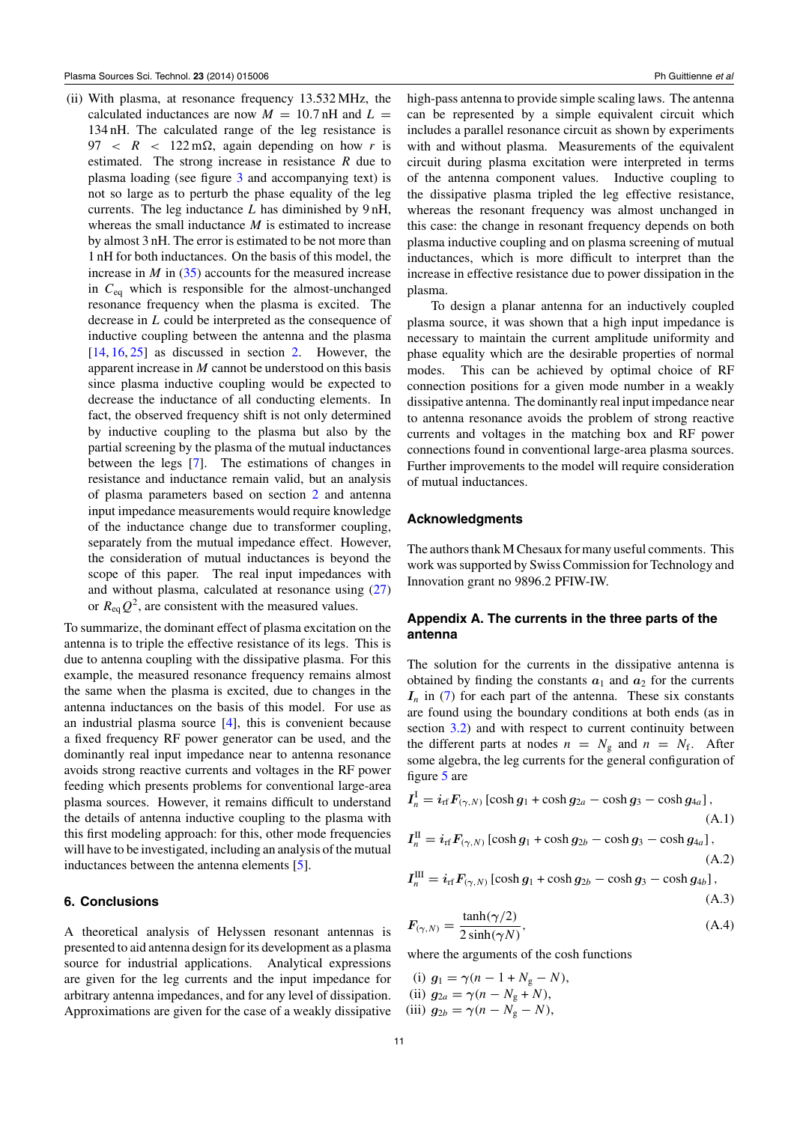<span id="page-10-0"></span>(ii) With plasma, at resonance frequency 13.532 MHz, the calculated inductances are now  $M = 10.7$  nH and  $L =$ 134 nH. The calculated range of the leg resistance is  $97 < R < 122 \text{ m}\Omega$ , again depending on how *r* is estimated. The strong increase in resistance *R* due to plasma loading (see figure [3](#page-2-0) and accompanying text) is not so large as to perturb the phase equality of the leg currents. The leg inductance *L* has diminished by 9 nH, whereas the small inductance *M* is estimated to increase by almost 3 nH. The error is estimated to be not more than 1 nH for both inductances. On the basis of this model, the increase in *M* in [\(35\)](#page-9-0) accounts for the measured increase in *C*eq which is responsible for the almost-unchanged resonance frequency when the plasma is excited. The decrease in *L* could be interpreted as the consequence of inductive coupling between the antenna and the plasma  $[14, 16, 25]$  $[14, 16, 25]$  $[14, 16, 25]$  $[14, 16, 25]$  $[14, 16, 25]$  as discussed in section [2.](#page-1-0) However, the apparent increase in *M* cannot be understood on this basis since plasma inductive coupling would be expected to decrease the inductance of all conducting elements. In fact, the observed frequency shift is not only determined by inductive coupling to the plasma but also by the partial screening by the plasma of the mutual inductances between the legs [\[7\]](#page-11-0). The estimations of changes in resistance and inductance remain valid, but an analysis of plasma parameters based on section [2](#page-1-0) and antenna input impedance measurements would require knowledge of the inductance change due to transformer coupling, separately from the mutual impedance effect. However, the consideration of mutual inductances is beyond the scope of this paper. The real input impedances with and without plasma, calculated at resonance using [\(27\)](#page-6-0) or  $R_{\text{eq}}Q^2$ , are consistent with the measured values.

To summarize, the dominant effect of plasma excitation on the antenna is to triple the effective resistance of its legs. This is due to antenna coupling with the dissipative plasma. For this example, the measured resonance frequency remains almost the same when the plasma is excited, due to changes in the antenna inductances on the basis of this model. For use as an industrial plasma source [\[4\]](#page-11-0), this is convenient because a fixed frequency RF power generator can be used, and the dominantly real input impedance near to antenna resonance avoids strong reactive currents and voltages in the RF power feeding which presents problems for conventional large-area plasma sources. However, it remains difficult to understand the details of antenna inductive coupling to the plasma with this first modeling approach: for this, other mode frequencies will have to be investigated, including an analysis of the mutual inductances between the antenna elements [\[5\]](#page-11-0).

#### **6. Conclusions**

A theoretical analysis of Helyssen resonant antennas is presented to aid antenna design for its development as a plasma source for industrial applications. Analytical expressions are given for the leg currents and the input impedance for arbitrary antenna impedances, and for any level of dissipation. Approximations are given for the case of a weakly dissipative

high-pass antenna to provide simple scaling laws. The antenna can be represented by a simple equivalent circuit which includes a parallel resonance circuit as shown by experiments with and without plasma. Measurements of the equivalent circuit during plasma excitation were interpreted in terms of the antenna component values. Inductive coupling to the dissipative plasma tripled the leg effective resistance, whereas the resonant frequency was almost unchanged in this case: the change in resonant frequency depends on both plasma inductive coupling and on plasma screening of mutual inductances, which is more difficult to interpret than the increase in effective resistance due to power dissipation in the plasma.

To design a planar antenna for an inductively coupled plasma source, it was shown that a high input impedance is necessary to maintain the current amplitude uniformity and phase equality which are the desirable properties of normal modes. This can be achieved by optimal choice of RF connection positions for a given mode number in a weakly dissipative antenna. The dominantly real input impedance near to antenna resonance avoids the problem of strong reactive currents and voltages in the matching box and RF power connections found in conventional large-area plasma sources. Further improvements to the model will require consideration of mutual inductances.

#### **Acknowledgments**

The authors thank M Chesaux for many useful comments. This work was supported by Swiss Commission for Technology and Innovation grant no 9896.2 PFIW-IW.

## **Appendix A. The currents in the three parts of the antenna**

The solution for the currents in the dissipative antenna is obtained by finding the constants  $a_1$  and  $a_2$  for the currents  $I_n$  in [\(7\)](#page-3-0) for each part of the antenna. These six constants are found using the boundary conditions at both ends (as in section [3.2\)](#page-3-0) and with respect to current continuity between the different parts at nodes  $n = N_g$  and  $n = N_f$ . After some algebra, the leg currents for the general configuration of figure [5](#page-4-0) are

$$
I_n^{\text{I}} = i_{\text{rf}} F_{(\gamma, N)} \left[ \cosh g_1 + \cosh g_{2a} - \cosh g_3 - \cosh g_{4a} \right],
$$
  
\n
$$
I_n^{\text{II}} = i_{\text{rf}} F_{(\gamma, N)} \left[ \cosh g_1 + \cosh g_{2b} - \cosh g_3 - \cosh g_{4a} \right],
$$
\n(A.1)

$$
I_n^{\text{II}} = i_{\text{rf}} F_{(\gamma, N)} \left[ \cosh g_1 + \cosh g_{2b} - \cosh g_3 - \cosh g_{4a} \right],\tag{A.2}
$$

$$
I_n^{\text{III}} = i_{\text{rf}} F_{(\gamma, N)} \left[ \cosh g_1 + \cosh g_{2b} - \cosh g_3 - \cosh g_{4b} \right],\tag{A.3}
$$

$$
F_{(\gamma,N)} = \frac{\tanh(\gamma/2)}{2\sinh(\gamma N)},
$$
\n(A.4)

where the arguments of the cosh functions

(i) 
$$
g_1 = \gamma (n - 1 + N_g - N)
$$
,  
\n(ii)  $g_{2a} = \gamma (n - N_g + N)$ ,  
\n(iii)  $g_{2b} = \gamma (n - N_g - N)$ ,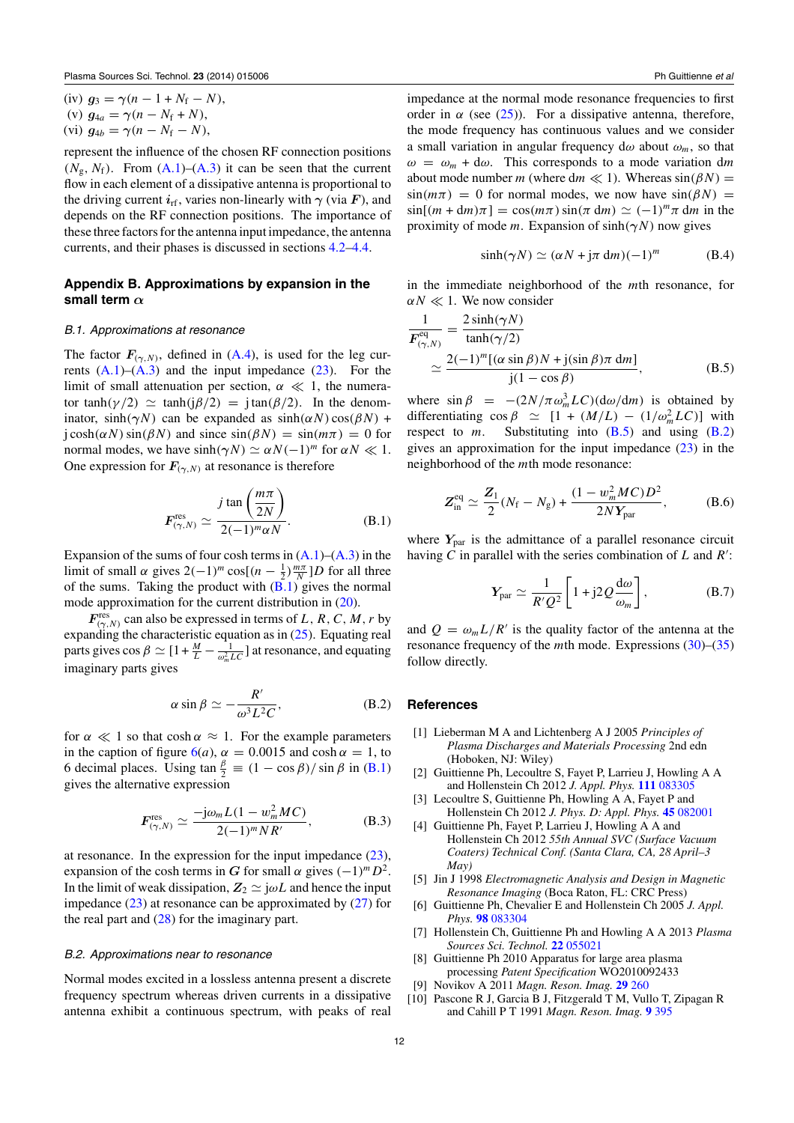<span id="page-11-0"></span>(iv) 
$$
g_3 = \gamma (n - 1 + N_f - N)
$$
,

$$
(v) g_{4a} = \gamma (n - N_f + N),
$$

$$
(vi) g_{4b} = \gamma (n - N_f - N),
$$

represent the influence of the chosen RF connection positions  $(N_g, N_f)$ . From  $(A.1)$ – $(A.3)$  it can be seen that the current flow in each element of a dissipative antenna is proportional to the driving current  $i_{\text{rf}}$ , varies non-linearly with  $\gamma$  (via *F*), and depends on the RF connection positions. The importance of these three factors for the antenna input impedance, the antenna currents, and their phases is discussed in sections [4.2–](#page-5-0)[4.4.](#page-7-0)

### **Appendix B. Approximations by expansion in the small term** *α*

#### *B.1. Approximations at resonance*

The factor  $F_{(\gamma,N)}$ , defined in [\(A.4\)](#page-10-0), is used for the leg currents  $(A.1)$ – $(A.3)$  and the input impedance  $(23)$ . For the limit of small attenuation per section,  $\alpha \ll 1$ , the numerator tanh $(\gamma/2) \simeq \tanh(i\beta/2) = i\tan(\beta/2)$ . In the denominator, sinh $(\gamma N)$  can be expanded as  $sinh(\alpha N) cos(\beta N)$  +  $\text{j} \cosh(\alpha N) \sin(\beta N)$  and since  $\sin(\beta N) = \sin(m\pi) = 0$  for normal modes, we have  $sinh(\gamma N) \simeq \alpha N(-1)^m$  for  $\alpha N \ll 1$ . One expression for  $F_{(\gamma,N)}$  at resonance is therefore

$$
F_{(\gamma,N)}^{\text{res}} \simeq \frac{j \tan\left(\frac{m\pi}{2N}\right)}{2(-1)^m \alpha N}.
$$
 (B.1)

Expansion of the sums of four cosh terms in  $(A.1)$ – $(A.3)$  in the limit of small *α* gives  $2(-1)^m \cos[(n - \frac{1}{2})\frac{m\pi}{N}]$ *D* for all three of the sums. Taking the product with  $(B.1)$  gives the normal mode approximation for the current distribution in [\(20\)](#page-4-0).

 $F^{\text{res}}_{(\gamma,N)}$  can also be expressed in terms of *L*, *R*, *C*, *M*, *r* by expanding the characteristic equation as in  $(25)$ . Equating real parts gives  $\cos \beta \simeq [1 + \frac{M}{L} - \frac{1}{\omega_m^2 LC}]$  at resonance, and equating imaginary parts gives

$$
\alpha \sin \beta \simeq -\frac{R'}{\omega^3 L^2 C},\tag{B.2}
$$

for  $\alpha \ll 1$  so that cosh  $\alpha \approx 1$ . For the example parameters in the caption of figure  $6(a)$  $6(a)$ ,  $\alpha = 0.0015$  and cosh  $\alpha = 1$ , to 6 decimal places. Using  $\tan \frac{\beta}{2} \equiv (1 - \cos \beta)/\sin \beta$  in (B.1) gives the alternative expression

$$
F_{(\gamma,N)}^{\text{res}} \simeq \frac{-j\omega_m L (1 - w_m^2 MC)}{2(-1)^m NR'}, \tag{B.3}
$$

at resonance. In the expression for the input impedance  $(23)$ , expansion of the cosh terms in *G* for small  $\alpha$  gives  $(-1)^m D^2$ . In the limit of weak dissipation,  $Z_2 \simeq j\omega L$  and hence the input impedance  $(23)$  at resonance can be approximated by  $(27)$  for the real part and  $(28)$  for the imaginary part.

#### *B.2. Approximations near to resonance*

Normal modes excited in a lossless antenna present a discrete frequency spectrum whereas driven currents in a dissipative antenna exhibit a continuous spectrum, with peaks of real impedance at the normal mode resonance frequencies to first order in  $\alpha$  (see [\(25\)](#page-6-0)). For a dissipative antenna, therefore, the mode frequency has continuous values and we consider a small variation in angular frequency  $d\omega$  about  $\omega_m$ , so that  $\omega = \omega_m + d\omega$ . This corresponds to a mode variation dm about mode number *m* (where d*m*  $\ll$  1). Whereas sin( $\beta N$ ) =  $sin(m\pi) = 0$  for normal modes, we now have  $sin(\beta N) =$  $\sin[(m + dm)\pi] = \cos(m\pi)\sin(\pi dm) \simeq (-1)^m \pi dm$  in the proximity of mode *m*. Expansion of sinh*(γN )* now gives

$$
\sinh(\gamma N) \simeq (\alpha N + j\pi \, dm)(-1)^m \tag{B.4}
$$

in the immediate neighborhood of the *m*th resonance, for  $\alpha N \ll 1$ . We now consider

$$
\frac{1}{F_{(\gamma,N)}^{\text{eq}}} = \frac{2 \sinh(\gamma N)}{\tanh(\gamma/2)} \n\approx \frac{2(-1)^m [(\alpha \sin \beta)N + j(\sin \beta)\pi \, dm]}{j(1 - \cos \beta)},
$$
\n(B.5)

where  $\sin \beta = -(2N/\pi \omega_m^3 LC)(d\omega/dm)$  is obtained by differentiating  $\cos \beta \simeq [1 + (M/L) - (1/\omega_m^2 LC)]$  with respect to  $m$ . Substituting into  $(B.5)$  and using  $(B.2)$ gives an approximation for the input impedance  $(23)$  in the neighborhood of the *m*th mode resonance:

$$
Z_{\text{in}}^{\text{eq}} \simeq \frac{Z_1}{2} (N_{\text{f}} - N_{\text{g}}) + \frac{(1 - w_m^2 MC)D^2}{2NY_{\text{par}}},
$$
 (B.6)

where  $Y_{\text{par}}$  is the admittance of a parallel resonance circuit having *C* in parallel with the series combination of *L* and *R* :

$$
Y_{\text{par}} \simeq \frac{1}{R'Q^2} \left[ 1 + j2Q \frac{d\omega}{\omega_m} \right],\tag{B.7}
$$

and  $Q = \omega_m L/R'$  is the quality factor of the antenna at the resonance frequency of the *m*th mode. Expressions [\(30\)](#page-9-0)–[\(35\)](#page-9-0) follow directly.

#### **References**

- [1] Lieberman M A and Lichtenberg A J 2005 *Principles of Plasma Discharges and Materials Processing* 2nd edn (Hoboken, NJ: Wiley)
- [2] Guittienne Ph, Lecoultre S, Fayet P, Larrieu J, Howling A A and Hollenstein Ch 2012 *J. Appl. Phys.* **111** [083305](http://dx.doi.org/10.1063/1.4705978)
- [3] Lecoultre S, Guittienne Ph, Howling A A, Fayet P and Hollenstein Ch 2012 *J. Phys. D: Appl. Phys.* **45** [082001](http://dx.doi.org/10.1088/0022-3727/45/8/082001)
- [4] Guittienne Ph, Fayet P, Larrieu J, Howling A A and Hollenstein Ch 2012 *55th Annual SVC (Surface Vacuum Coaters) Technical Conf. (Santa Clara, CA, 28 April–3 May)*
- [5] Jin J 1998 *Electromagnetic Analysis and Design in Magnetic Resonance Imaging* (Boca Raton, FL: CRC Press)
- [6] Guittienne Ph, Chevalier E and Hollenstein Ch 2005 *J. Appl. Phys.* **98** [083304](http://dx.doi.org/10.1063/1.2081107)
- [7] Hollenstein Ch, Guittienne Ph and Howling A A 2013 *Plasma Sources Sci. Technol.* **22** [055021](http://dx.doi.org/10.1088/0963-0252/22/5/055021)
- [8] Guittienne Ph 2010 Apparatus for large area plasma processing *Patent Specification* WO2010092433
- [9] Novikov A 2011 *Magn. Reson. Imag.* **29** [260](http://dx.doi.org/10.1016/j.mri.2010.08.001)
- [10] Pascone R J, Garcia B J, Fitzgerald T M, Vullo T, Zipagan R and Cahill P T 1991 *Magn. Reson. Imag.* **9** [395](http://dx.doi.org/10.1016/0730-725X(91)90428-O)